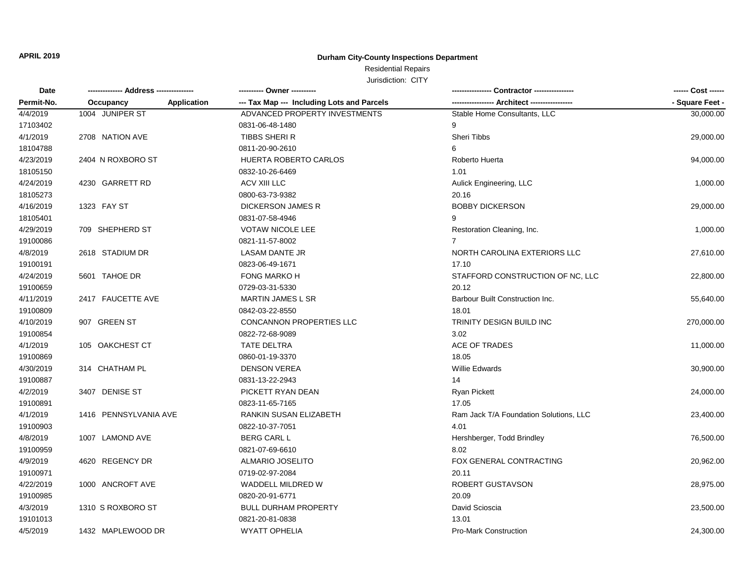### **Durham City-County Inspections Department**

# Residential Repairs

| Date       | -------------- Address --------------- | ---------- Owner ----------                               |                                        | ------ Cost ------ |
|------------|----------------------------------------|-----------------------------------------------------------|----------------------------------------|--------------------|
| Permit-No. | Occupancy                              | Application<br>--- Tax Map --- Including Lots and Parcels |                                        | - Square Feet -    |
| 4/4/2019   | 1004 JUNIPER ST                        | ADVANCED PROPERTY INVESTMENTS                             | Stable Home Consultants, LLC           | 30,000.00          |
| 17103402   |                                        | 0831-06-48-1480                                           | 9                                      |                    |
| 4/1/2019   | 2708 NATION AVE                        | TIBBS SHERI R                                             | <b>Sheri Tibbs</b>                     | 29,000.00          |
| 18104788   |                                        | 0811-20-90-2610                                           | 6                                      |                    |
| 4/23/2019  | 2404 N ROXBORO ST                      | HUERTA ROBERTO CARLOS                                     | Roberto Huerta                         | 94,000.00          |
| 18105150   |                                        | 0832-10-26-6469                                           | 1.01                                   |                    |
| 4/24/2019  | 4230 GARRETT RD                        | ACV XIII LLC                                              | Aulick Engineering, LLC                | 1,000.00           |
| 18105273   |                                        | 0800-63-73-9382                                           | 20.16                                  |                    |
| 4/16/2019  | 1323 FAY ST                            | <b>DICKERSON JAMES R</b>                                  | <b>BOBBY DICKERSON</b>                 | 29,000.00          |
| 18105401   |                                        | 0831-07-58-4946                                           |                                        |                    |
| 4/29/2019  | 709 SHEPHERD ST                        | <b>VOTAW NICOLE LEE</b>                                   | Restoration Cleaning, Inc.             | 1,000.00           |
| 19100086   |                                        | 0821-11-57-8002                                           | $\overline{7}$                         |                    |
| 4/8/2019   | 2618 STADIUM DR                        | <b>LASAM DANTE JR</b>                                     | NORTH CAROLINA EXTERIORS LLC           | 27,610.00          |
| 19100191   |                                        | 0823-06-49-1671                                           | 17.10                                  |                    |
| 4/24/2019  | 5601 TAHOE DR                          | <b>FONG MARKO H</b>                                       | STAFFORD CONSTRUCTION OF NC, LLC       | 22,800.00          |
| 19100659   |                                        | 0729-03-31-5330                                           | 20.12                                  |                    |
| 4/11/2019  | 2417 FAUCETTE AVE                      | <b>MARTIN JAMES L SR</b>                                  | Barbour Built Construction Inc.        | 55,640.00          |
| 19100809   |                                        | 0842-03-22-8550                                           | 18.01                                  |                    |
| 4/10/2019  | 907 GREEN ST                           | <b>CONCANNON PROPERTIES LLC</b>                           | TRINITY DESIGN BUILD INC               | 270,000.00         |
| 19100854   |                                        | 0822-72-68-9089                                           | 3.02                                   |                    |
| 4/1/2019   | 105 OAKCHEST CT                        | TATE DELTRA                                               | <b>ACE OF TRADES</b>                   | 11,000.00          |
| 19100869   |                                        | 0860-01-19-3370                                           | 18.05                                  |                    |
| 4/30/2019  | 314 CHATHAM PL                         | <b>DENSON VEREA</b>                                       | <b>Willie Edwards</b>                  | 30,900.00          |
| 19100887   |                                        | 0831-13-22-2943                                           | 14                                     |                    |
| 4/2/2019   | 3407 DENISE ST                         | PICKETT RYAN DEAN                                         | <b>Ryan Pickett</b>                    | 24,000.00          |
| 19100891   |                                        | 0823-11-65-7165                                           | 17.05                                  |                    |
| 4/1/2019   | 1416 PENNSYLVANIA AVE                  | RANKIN SUSAN ELIZABETH                                    | Ram Jack T/A Foundation Solutions, LLC | 23,400.00          |
| 19100903   |                                        | 0822-10-37-7051                                           | 4.01                                   |                    |
| 4/8/2019   | 1007 LAMOND AVE                        | <b>BERG CARL L</b>                                        | Hershberger, Todd Brindley             | 76,500.00          |
| 19100959   |                                        | 0821-07-69-6610                                           | 8.02                                   |                    |
| 4/9/2019   | 4620 REGENCY DR                        | <b>ALMARIO JOSELITO</b>                                   | FOX GENERAL CONTRACTING                | 20,962.00          |
| 19100971   |                                        | 0719-02-97-2084                                           | 20.11                                  |                    |
| 4/22/2019  | 1000 ANCROFT AVE                       | WADDELL MILDRED W                                         | ROBERT GUSTAVSON                       | 28,975.00          |
| 19100985   |                                        | 0820-20-91-6771                                           | 20.09                                  |                    |
| 4/3/2019   | 1310 S ROXBORO ST                      | <b>BULL DURHAM PROPERTY</b>                               | David Scioscia                         | 23,500.00          |
| 19101013   |                                        | 0821-20-81-0838                                           | 13.01                                  |                    |
| 4/5/2019   | 1432 MAPLEWOOD DR                      | <b>WYATT OPHELIA</b>                                      | <b>Pro-Mark Construction</b>           | 24,300.00          |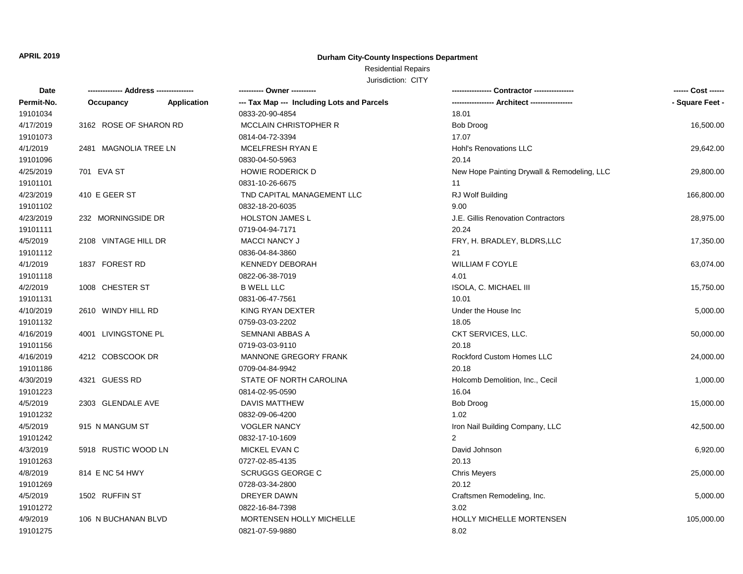### **Durham City-County Inspections Department**

## Residential Repairs

| Date       |                        |                    |                                            |                                             | ------ Cost ------ |
|------------|------------------------|--------------------|--------------------------------------------|---------------------------------------------|--------------------|
| Permit-No. | Occupancy              | <b>Application</b> | --- Tax Map --- Including Lots and Parcels |                                             | - Square Feet -    |
| 19101034   |                        |                    | 0833-20-90-4854                            | 18.01                                       |                    |
| 4/17/2019  | 3162 ROSE OF SHARON RD |                    | <b>MCCLAIN CHRISTOPHER R</b>               | <b>Bob Droog</b>                            | 16,500.00          |
| 19101073   |                        |                    | 0814-04-72-3394                            | 17.07                                       |                    |
| 4/1/2019   | 2481 MAGNOLIA TREE LN  |                    | MCELFRESH RYAN E                           | Hohl's Renovations LLC                      | 29,642.00          |
| 19101096   |                        |                    | 0830-04-50-5963                            | 20.14                                       |                    |
| 4/25/2019  | 701 EVA ST             |                    | <b>HOWIE RODERICK D</b>                    | New Hope Painting Drywall & Remodeling, LLC | 29,800.00          |
| 19101101   |                        |                    | 0831-10-26-6675                            | 11                                          |                    |
| 4/23/2019  | 410 E GEER ST          |                    | TND CAPITAL MANAGEMENT LLC                 | RJ Wolf Building                            | 166,800.00         |
| 19101102   |                        |                    | 0832-18-20-6035                            | 9.00                                        |                    |
| 4/23/2019  | 232 MORNINGSIDE DR     |                    | <b>HOLSTON JAMES L</b>                     | J.E. Gillis Renovation Contractors          | 28,975.00          |
| 19101111   |                        |                    | 0719-04-94-7171                            | 20.24                                       |                    |
| 4/5/2019   | 2108 VINTAGE HILL DR   |                    | <b>MACCI NANCY J</b>                       | FRY, H. BRADLEY, BLDRS,LLC                  | 17,350.00          |
| 19101112   |                        |                    | 0836-04-84-3860                            | 21                                          |                    |
| 4/1/2019   | 1837 FOREST RD         |                    | <b>KENNEDY DEBORAH</b>                     | <b>WILLIAM F COYLE</b>                      | 63,074.00          |
| 19101118   |                        |                    | 0822-06-38-7019                            | 4.01                                        |                    |
| 4/2/2019   | 1008 CHESTER ST        |                    | <b>B WELL LLC</b>                          | ISOLA, C. MICHAEL III                       | 15,750.00          |
| 19101131   |                        |                    | 0831-06-47-7561                            | 10.01                                       |                    |
| 4/10/2019  | 2610 WINDY HILL RD     |                    | KING RYAN DEXTER                           | Under the House Inc                         | 5,000.00           |
| 19101132   |                        |                    | 0759-03-03-2202                            | 18.05                                       |                    |
| 4/16/2019  | 4001 LIVINGSTONE PL    |                    | SEMNANI ABBAS A                            | CKT SERVICES, LLC.                          | 50,000.00          |
| 19101156   |                        |                    | 0719-03-03-9110                            | 20.18                                       |                    |
| 4/16/2019  | 4212 COBSCOOK DR       |                    | MANNONE GREGORY FRANK                      | Rockford Custom Homes LLC                   | 24,000.00          |
| 19101186   |                        |                    | 0709-04-84-9942                            | 20.18                                       |                    |
| 4/30/2019  | 4321 GUESS RD          |                    | STATE OF NORTH CAROLINA                    | Holcomb Demolition, Inc., Cecil             | 1,000.00           |
| 19101223   |                        |                    | 0814-02-95-0590                            | 16.04                                       |                    |
| 4/5/2019   | 2303 GLENDALE AVE      |                    | DAVIS MATTHEW                              | <b>Bob Droog</b>                            | 15,000.00          |
| 19101232   |                        |                    | 0832-09-06-4200                            | 1.02                                        |                    |
| 4/5/2019   | 915 N MANGUM ST        |                    | <b>VOGLER NANCY</b>                        | Iron Nail Building Company, LLC             | 42,500.00          |
| 19101242   |                        |                    | 0832-17-10-1609                            | $\mathcal{P}$                               |                    |
| 4/3/2019   | 5918 RUSTIC WOOD LN    |                    | MICKEL EVAN C                              | David Johnson                               | 6,920.00           |
| 19101263   |                        |                    | 0727-02-85-4135                            | 20.13                                       |                    |
| 4/8/2019   | 814 E NC 54 HWY        |                    | <b>SCRUGGS GEORGE C</b>                    | <b>Chris Meyers</b>                         | 25,000.00          |
| 19101269   |                        |                    | 0728-03-34-2800                            | 20.12                                       |                    |
| 4/5/2019   | 1502 RUFFIN ST         |                    | DREYER DAWN                                | Craftsmen Remodeling, Inc.                  | 5,000.00           |
| 19101272   |                        |                    | 0822-16-84-7398                            | 3.02                                        |                    |
| 4/9/2019   | 106 N BUCHANAN BLVD    |                    | MORTENSEN HOLLY MICHELLE                   | <b>HOLLY MICHELLE MORTENSEN</b>             | 105,000.00         |
| 19101275   |                        |                    | 0821-07-59-9880                            | 8.02                                        |                    |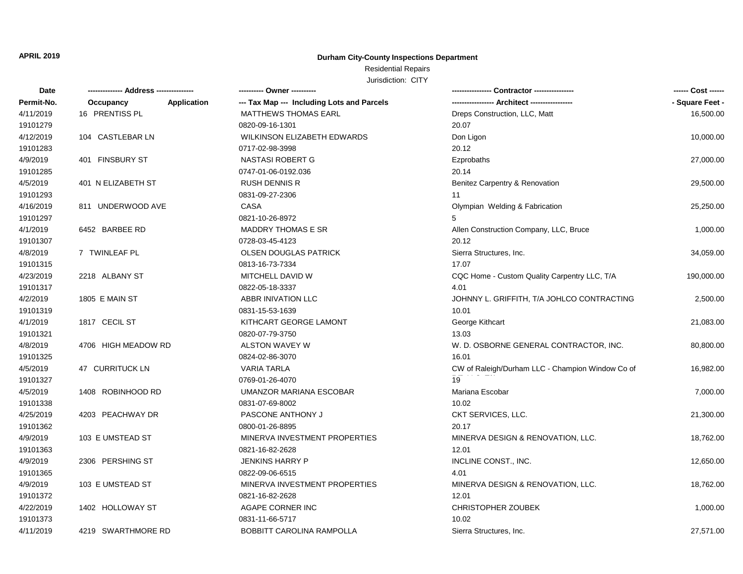### **Durham City-County Inspections Department**

## Residential Repairs

| Date       |                     |             | ---------- Owner ----------                |                                                  | ------ Cost ------ |
|------------|---------------------|-------------|--------------------------------------------|--------------------------------------------------|--------------------|
| Permit-No. | Occupancy           | Application | --- Tax Map --- Including Lots and Parcels | ----------------- Architect -----------------    | - Square Feet -    |
| 4/11/2019  | 16 PRENTISS PL      |             | <b>MATTHEWS THOMAS EARL</b>                | Dreps Construction, LLC, Matt                    | 16,500.00          |
| 19101279   |                     |             | 0820-09-16-1301                            | 20.07                                            |                    |
| 4/12/2019  | 104 CASTLEBAR LN    |             | WILKINSON ELIZABETH EDWARDS                | Don Ligon                                        | 10,000.00          |
| 19101283   |                     |             | 0717-02-98-3998                            | 20.12                                            |                    |
| 4/9/2019   | 401 FINSBURY ST     |             | NASTASI ROBERT G                           | Ezprobaths                                       | 27,000.00          |
| 19101285   |                     |             | 0747-01-06-0192.036                        | 20.14                                            |                    |
| 4/5/2019   | 401 N ELIZABETH ST  |             | <b>RUSH DENNIS R</b>                       | Benitez Carpentry & Renovation                   | 29,500.00          |
| 19101293   |                     |             | 0831-09-27-2306                            | 11                                               |                    |
| 4/16/2019  | 811 UNDERWOOD AVE   |             | CASA                                       | Olympian Welding & Fabrication                   | 25,250.00          |
| 19101297   |                     |             | 0821-10-26-8972                            | 5                                                |                    |
| 4/1/2019   | 6452 BARBEE RD      |             | <b>MADDRY THOMAS E SR</b>                  | Allen Construction Company, LLC, Bruce           | 1,000.00           |
| 19101307   |                     |             | 0728-03-45-4123                            | 20.12                                            |                    |
| 4/8/2019   | 7 TWINLEAF PL       |             | <b>OLSEN DOUGLAS PATRICK</b>               | Sierra Structures, Inc.                          | 34,059.00          |
| 19101315   |                     |             | 0813-16-73-7334                            | 17.07                                            |                    |
| 4/23/2019  | 2218 ALBANY ST      |             | MITCHELL DAVID W                           | CQC Home - Custom Quality Carpentry LLC, T/A     | 190,000.00         |
| 19101317   |                     |             | 0822-05-18-3337                            | 4.01                                             |                    |
| 4/2/2019   | 1805 E MAIN ST      |             | ABBR INIVATION LLC                         | JOHNNY L. GRIFFITH, T/A JOHLCO CONTRACTING       | 2,500.00           |
| 19101319   |                     |             | 0831-15-53-1639                            | 10.01                                            |                    |
| 4/1/2019   | 1817 CECIL ST       |             | KITHCART GEORGE LAMONT                     | George Kithcart                                  | 21,083.00          |
| 19101321   |                     |             | 0820-07-79-3750                            | 13.03                                            |                    |
| 4/8/2019   | 4706 HIGH MEADOW RD |             | ALSTON WAVEY W                             | W. D. OSBORNE GENERAL CONTRACTOR, INC.           | 80,800.00          |
| 19101325   |                     |             | 0824-02-86-3070                            | 16.01                                            |                    |
| 4/5/2019   | 47 CURRITUCK LN     |             | <b>VARIA TARLA</b>                         | CW of Raleigh/Durham LLC - Champion Window Co of | 16,982.00          |
| 19101327   |                     |             | 0769-01-26-4070                            | 19                                               |                    |
| 4/5/2019   | 1408 ROBINHOOD RD   |             | UMANZOR MARIANA ESCOBAR                    | Mariana Escobar                                  | 7,000.00           |
| 19101338   |                     |             | 0831-07-69-8002                            | 10.02                                            |                    |
| 4/25/2019  | 4203 PEACHWAY DR    |             | PASCONE ANTHONY J                          | CKT SERVICES, LLC.                               | 21,300.00          |
| 19101362   |                     |             | 0800-01-26-8895                            | 20.17                                            |                    |
| 4/9/2019   | 103 E UMSTEAD ST    |             | MINERVA INVESTMENT PROPERTIES              | MINERVA DESIGN & RENOVATION, LLC.                | 18,762.00          |
| 19101363   |                     |             | 0821-16-82-2628                            | 12.01                                            |                    |
| 4/9/2019   | 2306 PERSHING ST    |             | <b>JENKINS HARRY P</b>                     | INCLINE CONST., INC.                             | 12,650.00          |
| 19101365   |                     |             | 0822-09-06-6515                            | 4.01                                             |                    |
| 4/9/2019   | 103 E UMSTEAD ST    |             | MINERVA INVESTMENT PROPERTIES              | MINERVA DESIGN & RENOVATION, LLC.                | 18,762.00          |
| 19101372   |                     |             | 0821-16-82-2628                            | 12.01                                            |                    |
| 4/22/2019  | 1402 HOLLOWAY ST    |             | AGAPE CORNER INC                           | <b>CHRISTOPHER ZOUBEK</b>                        | 1,000.00           |
| 19101373   |                     |             | 0831-11-66-5717                            | 10.02                                            |                    |
| 4/11/2019  | 4219 SWARTHMORE RD  |             | <b>BOBBITT CAROLINA RAMPOLLA</b>           | Sierra Structures, Inc.                          | 27,571.00          |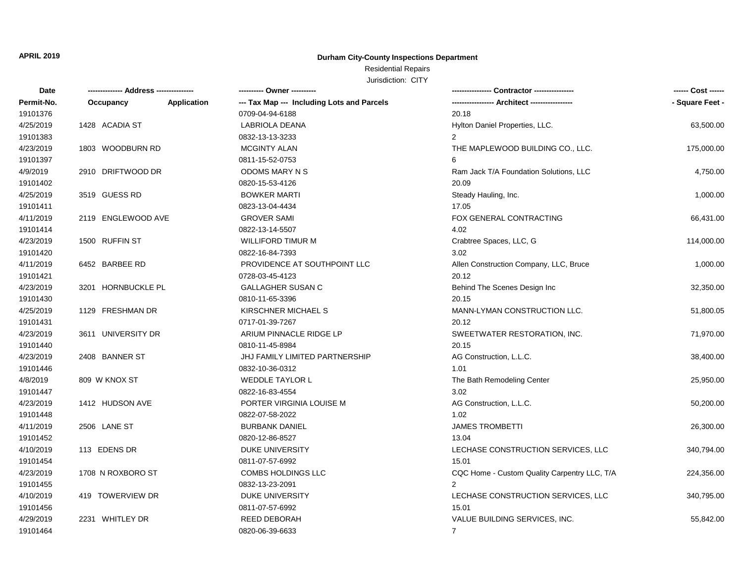### **Durham City-County Inspections Department**

### Residential Repairs Jurisdiction: CITY

| Date       | ------------- Address -------------- |             | ---------- Owner ----------                | Contractor ----------------                  | ------ Cost ------ |
|------------|--------------------------------------|-------------|--------------------------------------------|----------------------------------------------|--------------------|
| Permit-No. | Occupancy                            | Application | --- Tax Map --- Including Lots and Parcels |                                              | - Square Feet -    |
| 19101376   |                                      |             | 0709-04-94-6188                            | 20.18                                        |                    |
| 4/25/2019  | 1428 ACADIA ST                       |             | LABRIOLA DEANA                             | Hylton Daniel Properties, LLC.               | 63,500.00          |
| 19101383   |                                      |             | 0832-13-13-3233                            | $\overline{2}$                               |                    |
| 4/23/2019  | 1803 WOODBURN RD                     |             | <b>MCGINTY ALAN</b>                        | THE MAPLEWOOD BUILDING CO., LLC.             | 175,000.00         |
| 19101397   |                                      |             | 0811-15-52-0753                            | 6                                            |                    |
| 4/9/2019   | 2910 DRIFTWOOD DR                    |             | ODOMS MARY N S                             | Ram Jack T/A Foundation Solutions, LLC       | 4,750.00           |
| 19101402   |                                      |             | 0820-15-53-4126                            | 20.09                                        |                    |
| 4/25/2019  | 3519 GUESS RD                        |             | <b>BOWKER MARTI</b>                        | Steady Hauling, Inc.                         | 1,000.00           |
| 19101411   |                                      |             | 0823-13-04-4434                            | 17.05                                        |                    |
| 4/11/2019  | 2119 ENGLEWOOD AVE                   |             | <b>GROVER SAMI</b>                         | FOX GENERAL CONTRACTING                      | 66,431.00          |
| 19101414   |                                      |             | 0822-13-14-5507                            | 4.02                                         |                    |
| 4/23/2019  | 1500 RUFFIN ST                       |             | <b>WILLIFORD TIMUR M</b>                   | Crabtree Spaces, LLC, G                      | 114,000.00         |
| 19101420   |                                      |             | 0822-16-84-7393                            | 3.02                                         |                    |
| 4/11/2019  | 6452 BARBEE RD                       |             | PROVIDENCE AT SOUTHPOINT LLC               | Allen Construction Company, LLC, Bruce       | 1,000.00           |
| 19101421   |                                      |             | 0728-03-45-4123                            | 20.12                                        |                    |
| 4/23/2019  | 3201 HORNBUCKLE PL                   |             | <b>GALLAGHER SUSAN C</b>                   | Behind The Scenes Design Inc                 | 32,350.00          |
| 19101430   |                                      |             | 0810-11-65-3396                            | 20.15                                        |                    |
| 4/25/2019  | 1129 FRESHMAN DR                     |             | KIRSCHNER MICHAEL S                        | MANN-LYMAN CONSTRUCTION LLC.                 | 51,800.05          |
| 19101431   |                                      |             | 0717-01-39-7267                            | 20.12                                        |                    |
| 4/23/2019  | 3611 UNIVERSITY DR                   |             | ARIUM PINNACLE RIDGE LP                    | SWEETWATER RESTORATION, INC.                 | 71,970.00          |
| 19101440   |                                      |             | 0810-11-45-8984                            | 20.15                                        |                    |
| 4/23/2019  | 2408 BANNER ST                       |             | JHJ FAMILY LIMITED PARTNERSHIP             | AG Construction, L.L.C.                      | 38,400.00          |
| 19101446   |                                      |             | 0832-10-36-0312                            | 1.01                                         |                    |
| 4/8/2019   | 809 W KNOX ST                        |             | <b>WEDDLE TAYLOR L</b>                     | The Bath Remodeling Center                   | 25,950.00          |
| 19101447   |                                      |             | 0822-16-83-4554                            | 3.02                                         |                    |
| 4/23/2019  | 1412 HUDSON AVE                      |             | PORTER VIRGINIA LOUISE M                   | AG Construction, L.L.C.                      | 50,200.00          |
| 19101448   |                                      |             | 0822-07-58-2022                            | 1.02                                         |                    |
| 4/11/2019  | 2506 LANE ST                         |             | <b>BURBANK DANIEL</b>                      | <b>JAMES TROMBETTI</b>                       | 26,300.00          |
| 19101452   |                                      |             | 0820-12-86-8527                            | 13.04                                        |                    |
| 4/10/2019  | 113 EDENS DR                         |             | <b>DUKE UNIVERSITY</b>                     | LECHASE CONSTRUCTION SERVICES, LLC           | 340,794.00         |
| 19101454   |                                      |             | 0811-07-57-6992                            | 15.01                                        |                    |
| 4/23/2019  | 1708 N ROXBORO ST                    |             | <b>COMBS HOLDINGS LLC</b>                  | CQC Home - Custom Quality Carpentry LLC, T/A | 224,356.00         |
| 19101455   |                                      |             | 0832-13-23-2091                            | $\overline{2}$                               |                    |
| 4/10/2019  | 419 TOWERVIEW DR                     |             | <b>DUKE UNIVERSITY</b>                     | LECHASE CONSTRUCTION SERVICES, LLC           | 340,795.00         |
| 19101456   |                                      |             | 0811-07-57-6992                            | 15.01                                        |                    |
| 4/29/2019  | 2231 WHITLEY DR                      |             | <b>REED DEBORAH</b>                        | VALUE BUILDING SERVICES, INC.                | 55,842.00          |
| 19101464   |                                      |             | 0820-06-39-6633                            | $\overline{7}$                               |                    |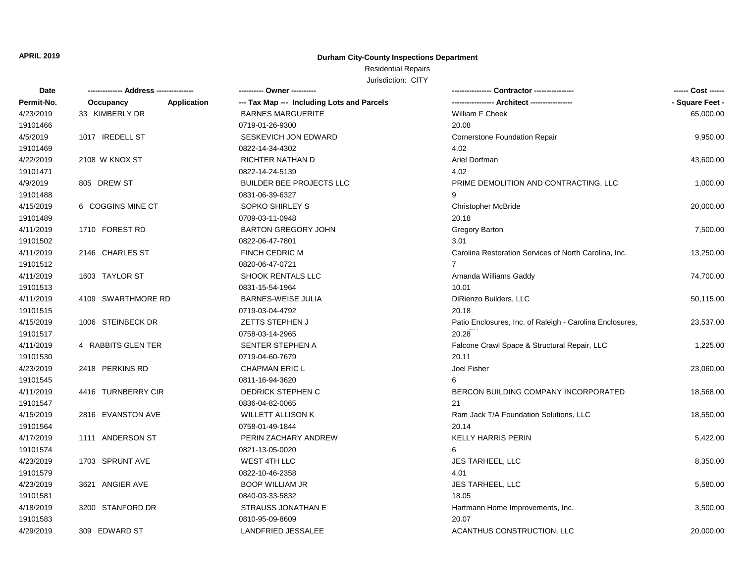### **Durham City-County Inspections Department**

## Residential Repairs

| Date       |                          | --------- Owner ---------                  |                                                          |                 |
|------------|--------------------------|--------------------------------------------|----------------------------------------------------------|-----------------|
| Permit-No. | Application<br>Occupancy | --- Tax Map --- Including Lots and Parcels |                                                          | - Square Feet - |
| 4/23/2019  | 33 KIMBERLY DR           | <b>BARNES MARGUERITE</b>                   | William F Cheek                                          | 65,000.00       |
| 19101466   |                          | 0719-01-26-9300                            | 20.08                                                    |                 |
| 4/5/2019   | 1017 IREDELL ST          | SESKEVICH JON EDWARD                       | <b>Cornerstone Foundation Repair</b>                     | 9,950.00        |
| 19101469   |                          | 0822-14-34-4302                            | 4.02                                                     |                 |
| 4/22/2019  | 2108 W KNOX ST           | <b>RICHTER NATHAN D</b>                    | Ariel Dorfman                                            | 43,600.00       |
| 19101471   |                          | 0822-14-24-5139                            | 4.02                                                     |                 |
| 4/9/2019   | 805 DREW ST              | <b>BUILDER BEE PROJECTS LLC</b>            | PRIME DEMOLITION AND CONTRACTING, LLC                    | 1,000.00        |
| 19101488   |                          | 0831-06-39-6327                            | 9                                                        |                 |
| 4/15/2019  | 6 COGGINS MINE CT        | SOPKO SHIRLEY S                            | Christopher McBride                                      | 20,000.00       |
| 19101489   |                          | 0709-03-11-0948                            | 20.18                                                    |                 |
| 4/11/2019  | 1710 FOREST RD           | <b>BARTON GREGORY JOHN</b>                 | Gregory Barton                                           | 7,500.00        |
| 19101502   |                          | 0822-06-47-7801                            | 3.01                                                     |                 |
| 4/11/2019  | 2146 CHARLES ST          | FINCH CEDRIC M                             | Carolina Restoration Services of North Carolina, Inc.    | 13,250.00       |
| 19101512   |                          | 0820-06-47-0721                            | $\overline{7}$                                           |                 |
| 4/11/2019  | 1603 TAYLOR ST           | SHOOK RENTALS LLC                          | Amanda Williams Gaddy                                    | 74,700.00       |
| 19101513   |                          | 0831-15-54-1964                            | 10.01                                                    |                 |
| 4/11/2019  | 4109 SWARTHMORE RD       | <b>BARNES-WEISE JULIA</b>                  | DiRienzo Builders, LLC                                   | 50,115.00       |
| 19101515   |                          | 0719-03-04-4792                            | 20.18                                                    |                 |
| 4/15/2019  | 1006 STEINBECK DR        | <b>ZETTS STEPHEN J</b>                     | Patio Enclosures, Inc. of Raleigh - Carolina Enclosures, | 23,537.00       |
| 19101517   |                          | 0758-03-14-2965                            | 20.28                                                    |                 |
| 4/11/2019  | 4 RABBITS GLEN TER       | SENTER STEPHEN A                           | Falcone Crawl Space & Structural Repair, LLC             | 1,225.00        |
| 19101530   |                          | 0719-04-60-7679                            | 20.11                                                    |                 |
| 4/23/2019  | 2418 PERKINS RD          | <b>CHAPMAN ERIC L</b>                      | Joel Fisher                                              | 23,060.00       |
| 19101545   |                          | 0811-16-94-3620                            | 6                                                        |                 |
| 4/11/2019  | 4416 TURNBERRY CIR       | DEDRICK STEPHEN C                          | BERCON BUILDING COMPANY INCORPORATED                     | 18,568.00       |
| 19101547   |                          | 0836-04-82-0065                            | 21                                                       |                 |
| 4/15/2019  | 2816 EVANSTON AVE        | <b>WILLETT ALLISON K</b>                   | Ram Jack T/A Foundation Solutions, LLC                   | 18,550.00       |
| 19101564   |                          | 0758-01-49-1844                            | 20.14                                                    |                 |
| 4/17/2019  | 1111 ANDERSON ST         | PERIN ZACHARY ANDREW                       | <b>KELLY HARRIS PERIN</b>                                | 5,422.00        |
| 19101574   |                          | 0821-13-05-0020                            | 6                                                        |                 |
| 4/23/2019  | 1703 SPRUNT AVE          | <b>WEST 4TH LLC</b>                        | <b>JES TARHEEL, LLC</b>                                  | 8,350.00        |
| 19101579   |                          | 0822-10-46-2358                            | 4.01                                                     |                 |
| 4/23/2019  | 3621 ANGIER AVE          | <b>BOOP WILLIAM JR</b>                     | <b>JES TARHEEL, LLC</b>                                  | 5,580.00        |
| 19101581   |                          | 0840-03-33-5832                            | 18.05                                                    |                 |
| 4/18/2019  | 3200 STANFORD DR         | STRAUSS JONATHAN E                         | Hartmann Home Improvements, Inc.                         | 3,500.00        |
| 19101583   |                          | 0810-95-09-8609                            | 20.07                                                    |                 |
| 4/29/2019  | 309 EDWARD ST            | LANDFRIED JESSALEE                         | ACANTHUS CONSTRUCTION, LLC                               | 20,000.00       |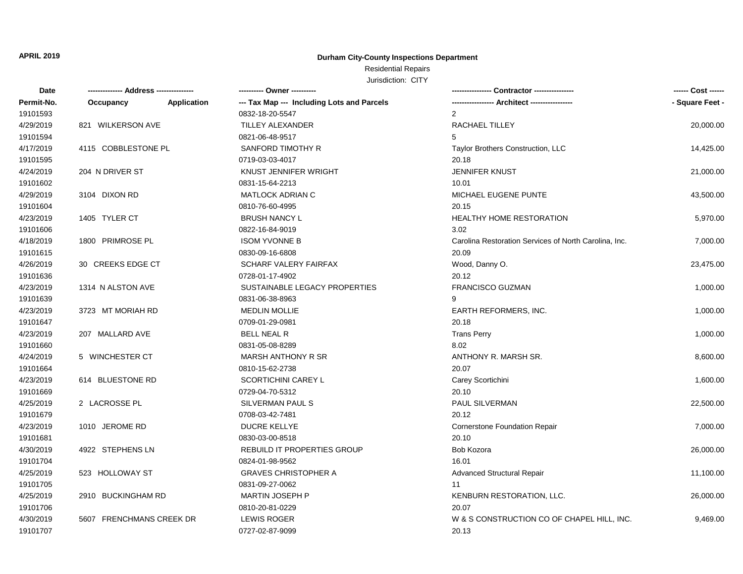### **Durham City-County Inspections Department**

## Residential Repairs

| Date       | -------------- Address --------------- |                    |                                            |                                                       | ------ Cost ------ |
|------------|----------------------------------------|--------------------|--------------------------------------------|-------------------------------------------------------|--------------------|
| Permit-No. | Occupancy                              | <b>Application</b> | --- Tax Map --- Including Lots and Parcels | ----------------- Architect -----------------         | - Square Feet -    |
| 19101593   |                                        |                    | 0832-18-20-5547                            | $\overline{2}$                                        |                    |
| 4/29/2019  | 821 WILKERSON AVE                      |                    | TILLEY ALEXANDER                           | RACHAEL TILLEY                                        | 20,000.00          |
| 19101594   |                                        |                    | 0821-06-48-9517                            | 5                                                     |                    |
| 4/17/2019  | 4115 COBBLESTONE PL                    |                    | SANFORD TIMOTHY R                          | Taylor Brothers Construction, LLC                     | 14,425.00          |
| 19101595   |                                        |                    | 0719-03-03-4017                            | 20.18                                                 |                    |
| 4/24/2019  | 204 N DRIVER ST                        |                    | KNUST JENNIFER WRIGHT                      | <b>JENNIFER KNUST</b>                                 | 21,000.00          |
| 19101602   |                                        |                    | 0831-15-64-2213                            | 10.01                                                 |                    |
| 4/29/2019  | 3104 DIXON RD                          |                    | <b>MATLOCK ADRIAN C</b>                    | MICHAEL EUGENE PUNTE                                  | 43,500.00          |
| 19101604   |                                        |                    | 0810-76-60-4995                            | 20.15                                                 |                    |
| 4/23/2019  | 1405 TYLER CT                          |                    | <b>BRUSH NANCY L</b>                       | <b>HEALTHY HOME RESTORATION</b>                       | 5,970.00           |
| 19101606   |                                        |                    | 0822-16-84-9019                            | 3.02                                                  |                    |
| 4/18/2019  | 1800 PRIMROSE PL                       |                    | <b>ISOM YVONNE B</b>                       | Carolina Restoration Services of North Carolina, Inc. | 7,000.00           |
| 19101615   |                                        |                    | 0830-09-16-6808                            | 20.09                                                 |                    |
| 4/26/2019  | 30 CREEKS EDGE CT                      |                    | SCHARF VALERY FAIRFAX                      | Wood, Danny O.                                        | 23,475.00          |
| 19101636   |                                        |                    | 0728-01-17-4902                            | 20.12                                                 |                    |
| 4/23/2019  | 1314 N ALSTON AVE                      |                    | SUSTAINABLE LEGACY PROPERTIES              | FRANCISCO GUZMAN                                      | 1,000.00           |
| 19101639   |                                        |                    | 0831-06-38-8963                            | 9                                                     |                    |
| 4/23/2019  | 3723 MT MORIAH RD                      |                    | <b>MEDLIN MOLLIE</b>                       | <b>EARTH REFORMERS, INC.</b>                          | 1,000.00           |
| 19101647   |                                        |                    | 0709-01-29-0981                            | 20.18                                                 |                    |
| 4/23/2019  | 207 MALLARD AVE                        |                    | <b>BELL NEAL R</b>                         | <b>Trans Perry</b>                                    | 1,000.00           |
| 19101660   |                                        |                    | 0831-05-08-8289                            | 8.02                                                  |                    |
| 4/24/2019  | 5 WINCHESTER CT                        |                    | <b>MARSH ANTHONY R SR</b>                  | ANTHONY R. MARSH SR.                                  | 8,600.00           |
| 19101664   |                                        |                    | 0810-15-62-2738                            | 20.07                                                 |                    |
| 4/23/2019  | 614 BLUESTONE RD                       |                    | SCORTICHINI CAREY L                        | Carey Scortichini                                     | 1,600.00           |
| 19101669   |                                        |                    | 0729-04-70-5312                            | 20.10                                                 |                    |
| 4/25/2019  | 2 LACROSSE PL                          |                    | SILVERMAN PAUL S                           | PAUL SILVERMAN                                        | 22,500.00          |
| 19101679   |                                        |                    | 0708-03-42-7481                            | 20.12                                                 |                    |
| 4/23/2019  | 1010 JEROME RD                         |                    | <b>DUCRE KELLYE</b>                        | Cornerstone Foundation Repair                         | 7,000.00           |
| 19101681   |                                        |                    | 0830-03-00-8518                            | 20.10                                                 |                    |
| 4/30/2019  | 4922 STEPHENS LN                       |                    | REBUILD IT PROPERTIES GROUP                | Bob Kozora                                            | 26,000.00          |
| 19101704   |                                        |                    | 0824-01-98-9562                            | 16.01                                                 |                    |
| 4/25/2019  | 523 HOLLOWAY ST                        |                    | <b>GRAVES CHRISTOPHER A</b>                | Advanced Structural Repair                            | 11,100.00          |
| 19101705   |                                        |                    | 0831-09-27-0062                            | 11                                                    |                    |
| 4/25/2019  | 2910 BUCKINGHAM RD                     |                    | MARTIN JOSEPH P                            | KENBURN RESTORATION, LLC.                             | 26,000.00          |
| 19101706   |                                        |                    | 0810-20-81-0229                            | 20.07                                                 |                    |
| 4/30/2019  | 5607 FRENCHMANS CREEK DR               |                    | <b>LEWIS ROGER</b>                         | W & S CONSTRUCTION CO OF CHAPEL HILL, INC.            | 9,469.00           |
| 19101707   |                                        |                    | 0727-02-87-9099                            | 20.13                                                 |                    |